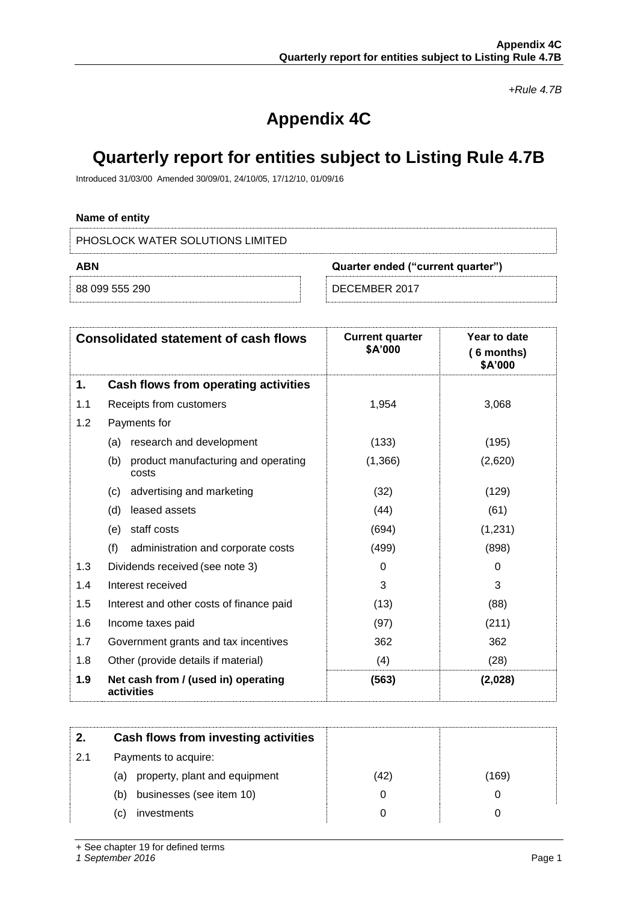*+Rule 4.7B*

# **Appendix 4C**

## **Quarterly report for entities subject to Listing Rule 4.7B**

Introduced 31/03/00 Amended 30/09/01, 24/10/05, 17/12/10, 01/09/16

## **Name of entity**

PHOSLOCK WATER SOLUTIONS LIMITED

| ABN            |  | Quarter ended ("current quarter") |  |
|----------------|--|-----------------------------------|--|
| 88 099 555 290 |  | DECEMBER 2017                     |  |

|     | <b>Consolidated statement of cash flows</b>         | <b>Current quarter</b><br>\$A'000 | Year to date<br>$(6$ months)<br>\$A'000 |
|-----|-----------------------------------------------------|-----------------------------------|-----------------------------------------|
| 1.  | Cash flows from operating activities                |                                   |                                         |
| 1.1 | Receipts from customers                             | 1,954                             | 3,068                                   |
| 1.2 | Payments for                                        |                                   |                                         |
|     | research and development<br>(a)                     | (133)                             | (195)                                   |
|     | product manufacturing and operating<br>(b)<br>costs | (1,366)                           | (2,620)                                 |
|     | advertising and marketing<br>(c)                    | (32)                              | (129)                                   |
|     | (d)<br>leased assets                                | (44)                              | (61)                                    |
|     | staff costs<br>(e)                                  | (694)                             | (1,231)                                 |
|     | (f)<br>administration and corporate costs           | (499)                             | (898)                                   |
| 1.3 | Dividends received (see note 3)                     | 0                                 | 0                                       |
| 1.4 | Interest received                                   | 3                                 | 3                                       |
| 1.5 | Interest and other costs of finance paid            | (13)                              | (88)                                    |
| 1.6 | Income taxes paid                                   | (97)                              | (211)                                   |
| 1.7 | Government grants and tax incentives                | 362                               | 362                                     |
| 1.8 | Other (provide details if material)                 | (4)                               | (28)                                    |
| 1.9 | Net cash from / (used in) operating<br>activities   | (563)                             | (2,028)                                 |

| 2.  | Cash flows from investing activities |      |      |
|-----|--------------------------------------|------|------|
| 2.1 | Payments to acquire:                 |      |      |
|     | property, plant and equipment<br>(a) | (42) | 169) |
|     | businesses (see item 10)<br>(b)      |      |      |
|     | investments<br>(C)                   |      |      |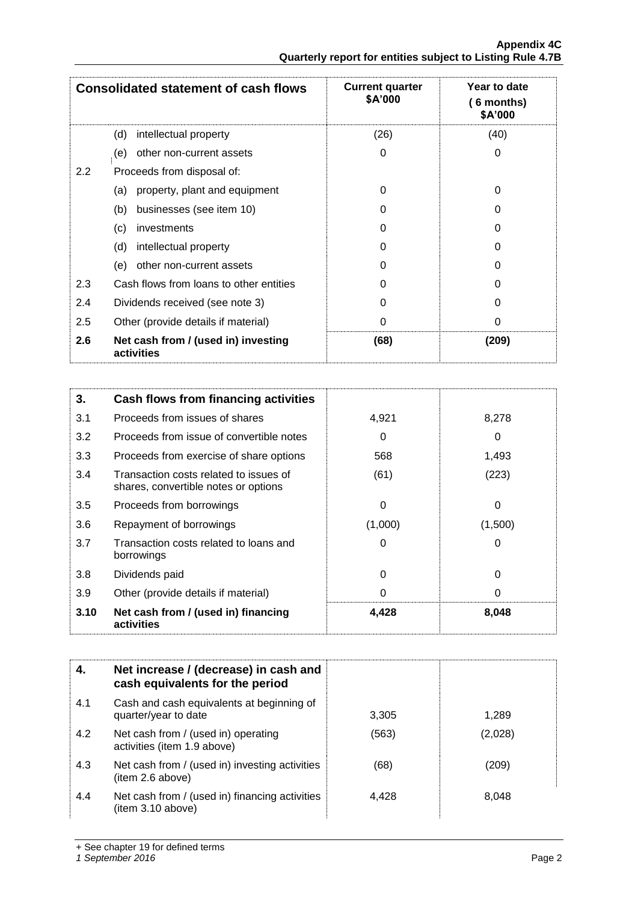|               | <b>Consolidated statement of cash flows</b>       | <b>Current quarter</b><br>\$A'000 | Year to date<br>6 months)<br>\$A'000 |
|---------------|---------------------------------------------------|-----------------------------------|--------------------------------------|
|               | intellectual property<br>(d)                      | (26)                              | (40)                                 |
|               | other non-current assets<br>(e)                   | 0                                 | 0                                    |
| $2.2^{\circ}$ | Proceeds from disposal of:                        |                                   |                                      |
|               | property, plant and equipment<br>(a)              | 0                                 | 0                                    |
|               | businesses (see item 10)<br>(b)                   | 0                                 | O                                    |
|               | (c)<br>investments                                | 0                                 | 0                                    |
|               | (d)<br>intellectual property                      | O                                 | O                                    |
|               | other non-current assets<br>(e)                   | 0                                 | 0                                    |
| 2.3           | Cash flows from loans to other entities           | 0                                 | 0                                    |
| 2.4           | Dividends received (see note 3)                   | 0                                 | O                                    |
| 2.5           | Other (provide details if material)               | 0                                 | 0                                    |
| 2.6           | Net cash from / (used in) investing<br>activities | (68)                              | (209)                                |

| 3.   | <b>Cash flows from financing activities</b>                                    |         |          |
|------|--------------------------------------------------------------------------------|---------|----------|
| 3.1  | Proceeds from issues of shares                                                 | 4,921   | 8,278    |
| 3.2  | Proceeds from issue of convertible notes                                       | 0       | 0        |
| 3.3  | Proceeds from exercise of share options                                        | 568     | 1,493    |
| 3.4  | Transaction costs related to issues of<br>shares, convertible notes or options | (61)    | (223)    |
| 3.5  | Proceeds from borrowings                                                       | 0       | 0        |
| 3.6  | Repayment of borrowings                                                        | (1,000) | (1,500)  |
| 3.7  | Transaction costs related to loans and<br>borrowings                           | 0       | 0        |
| 3.8  | Dividends paid                                                                 | 0       | $\Omega$ |
| 3.9  | Other (provide details if material)                                            | 0       | 0        |
| 3.10 | Net cash from / (used in) financing<br>activities                              | 4,428   | 8,048    |

|     | Net increase / (decrease) in cash and<br>cash equivalents for the period |       |         |
|-----|--------------------------------------------------------------------------|-------|---------|
| 4.1 | Cash and cash equivalents at beginning of<br>quarter/year to date        | 3,305 | 1.289   |
| 4.2 | Net cash from / (used in) operating<br>activities (item 1.9 above)       | (563) | (2,028) |
| 4.3 | Net cash from / (used in) investing activities<br>(item 2.6 above)       | (68)  | (209)   |
| 4.4 | Net cash from / (used in) financing activities<br>(item 3.10 above)      | 4.428 | 8,048   |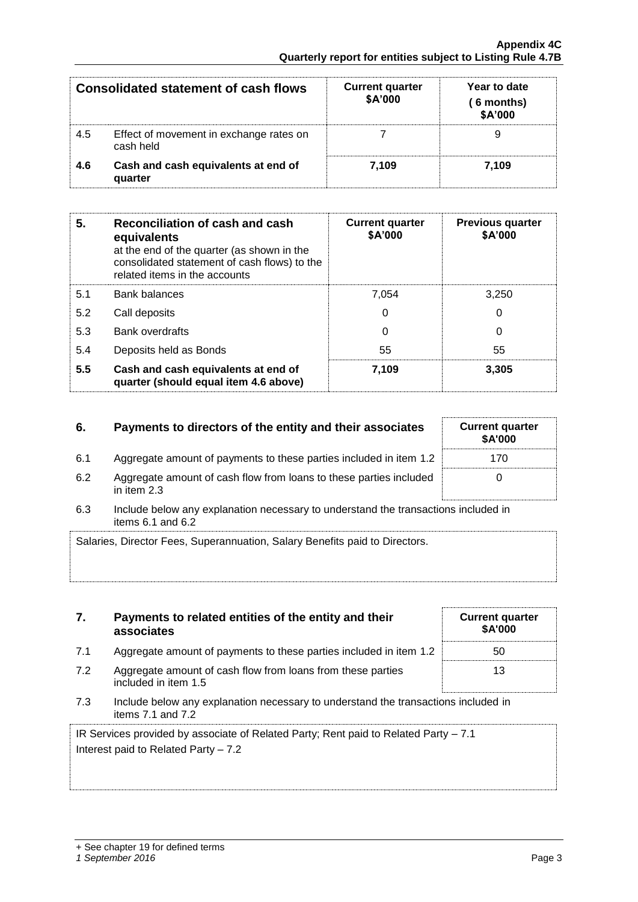| Consolidated statement of cash flows |                                                      | <b>Current quarter</b><br>\$A'000 | Year to date<br>( 6 months)<br>\$A'000 |
|--------------------------------------|------------------------------------------------------|-----------------------------------|----------------------------------------|
| 4.5                                  | Effect of movement in exchange rates on<br>cash held |                                   |                                        |
| 4.6                                  | Cash and cash equivalents at end of<br>quarter       | 7.109                             | 7.109                                  |

| 5.  | Reconciliation of cash and cash<br>equivalents<br>at the end of the quarter (as shown in the<br>consolidated statement of cash flows) to the<br>related items in the accounts | <b>Current quarter</b><br>\$A'000 | <b>Previous quarter</b><br>\$A'000 |
|-----|-------------------------------------------------------------------------------------------------------------------------------------------------------------------------------|-----------------------------------|------------------------------------|
| 5.1 | <b>Bank balances</b>                                                                                                                                                          | 7.054                             | 3.250                              |
| 5.2 | Call deposits                                                                                                                                                                 | 0                                 | 0                                  |
| 5.3 | <b>Bank overdrafts</b>                                                                                                                                                        | 0                                 | 0                                  |
| 5.4 | Deposits held as Bonds                                                                                                                                                        | 55                                | 55                                 |
| 5.5 | Cash and cash equivalents at end of<br>quarter (should equal item 4.6 above)                                                                                                  | 7.109                             | 3,305                              |

## **6.** Payments to directors of the entity and their associates

- 6.1 Aggregate amount of payments to these parties included in item 1.2
- 6.2 Aggregate amount of cash flow from loans to these parties included in item 2.3

**7. Payments to related entities of the entity and their** 

6.3 Include below any explanation necessary to understand the transactions included in items  $6.1$  and  $6.2$ 

| Salaries, Director Fees, Superannuation, Salary Benefits paid to Directors. |  |
|-----------------------------------------------------------------------------|--|
|                                                                             |  |
|                                                                             |  |

|     | associates                                                                                              | \$A'000 |
|-----|---------------------------------------------------------------------------------------------------------|---------|
| 7.1 | Aggregate amount of payments to these parties included in item 1.2                                      | 50      |
| 7.2 | Aggregate amount of cash flow from loans from these parties<br>included in item 1.5                     | 13      |
| 7.3 | Include below any explanation necessary to understand the transactions included in<br>items 7.1 and 7.2 |         |

IR Services provided by associate of Related Party; Rent paid to Related Party – 7.1 Interest paid to Related Party – 7.2

| <b>Current quarter</b><br>\$A'000 |  |
|-----------------------------------|--|
| 170                               |  |
| U                                 |  |

**Current quarter \$A'000**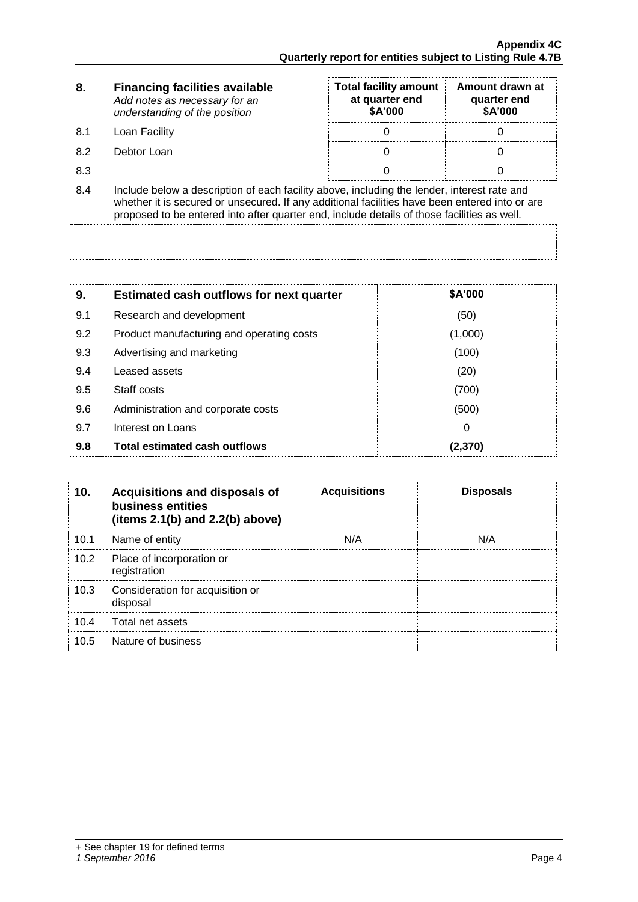| 8.  | <b>Financing facilities available</b><br>Add notes as necessary for an<br>understanding of the position                                                                                                                                                                                      | <b>Total facility amount</b><br>at quarter end<br>\$A'000 | Amount drawn at<br>quarter end<br>\$A'000 |  |
|-----|----------------------------------------------------------------------------------------------------------------------------------------------------------------------------------------------------------------------------------------------------------------------------------------------|-----------------------------------------------------------|-------------------------------------------|--|
| 8.1 | Loan Facility                                                                                                                                                                                                                                                                                |                                                           |                                           |  |
| 8.2 | Debtor Loan                                                                                                                                                                                                                                                                                  |                                                           |                                           |  |
| 8.3 |                                                                                                                                                                                                                                                                                              |                                                           |                                           |  |
| 8.4 | Include below a description of each facility above, including the lender, interest rate and<br>whether it is secured or unsecured. If any additional facilities have been entered into or are<br>proposed to be entered into after quarter end, include details of those facilities as well. |                                                           |                                           |  |

| 9.  | <b>Estimated cash outflows for next quarter</b> | <b>\$A'000</b> |
|-----|-------------------------------------------------|----------------|
| 9.1 | Research and development                        | (50)           |
| 9.2 | Product manufacturing and operating costs       | (1,000)        |
| 9.3 | Advertising and marketing                       | (100)          |
| 9.4 | Leased assets                                   | (20)           |
| 9.5 | Staff costs                                     | (700)          |
| 9.6 | Administration and corporate costs              | (500)          |
| 9.7 | Interest on Loans                               | 0              |
| 9.8 | <b>Total estimated cash outflows</b>            | (2,370)        |

| 10.  | Acquisitions and disposals of<br>business entities<br>(items $2.1(b)$ and $2.2(b)$ above) | <b>Acquisitions</b> | <b>Disposals</b> |
|------|-------------------------------------------------------------------------------------------|---------------------|------------------|
| 10.1 | Name of entity                                                                            | N/A                 | N/A              |
| 10.2 | Place of incorporation or<br>registration                                                 |                     |                  |
| 10.3 | Consideration for acquisition or<br>disposal                                              |                     |                  |
| 10.4 | Total net assets                                                                          |                     |                  |
| 10.5 | Nature of business                                                                        |                     |                  |